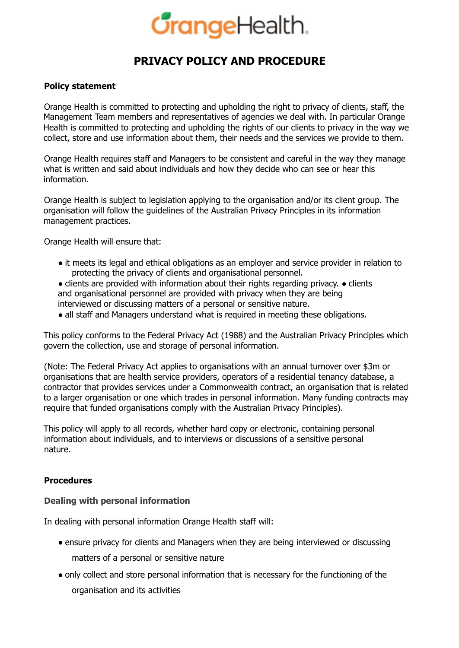# **CrangeHealth.**

# **PRIVACY POLICY AND PROCEDURE**

## **Policy statement**

Orange Health is committed to protecting and upholding the right to privacy of clients, staff, the Management Team members and representatives of agencies we deal with. In particular Orange Health is committed to protecting and upholding the rights of our clients to privacy in the way we collect, store and use information about them, their needs and the services we provide to them.

Orange Health requires staff and Managers to be consistent and careful in the way they manage what is written and said about individuals and how they decide who can see or hear this information.

Orange Health is subject to legislation applying to the organisation and/or its client group. The organisation will follow the guidelines of the Australian Privacy Principles in its information management practices.

Orange Health will ensure that:

- it meets its legal and ethical obligations as an employer and service provider in relation to protecting the privacy of clients and organisational personnel.
- clients are provided with information about their rights regarding privacy. clients and organisational personnel are provided with privacy when they are being interviewed or discussing matters of a personal or sensitive nature.
- all staff and Managers understand what is required in meeting these obligations.

This policy conforms to the Federal Privacy Act (1988) and the Australian Privacy Principles which govern the collection, use and storage of personal information.

(Note: The Federal Privacy Act applies to organisations with an annual turnover over \$3m or organisations that are health service providers, operators of a residential tenancy database, a contractor that provides services under a Commonwealth contract, an organisation that is related to a larger organisation or one which trades in personal information. Many funding contracts may require that funded organisations comply with the Australian Privacy Principles).

This policy will apply to all records, whether hard copy or electronic, containing personal information about individuals, and to interviews or discussions of a sensitive personal nature.

# **Procedures**

#### **Dealing with personal information**

In dealing with personal information Orange Health staff will:

- ensure privacy for clients and Managers when they are being interviewed or discussing matters of a personal or sensitive nature
- only collect and store personal information that is necessary for the functioning of the organisation and its activities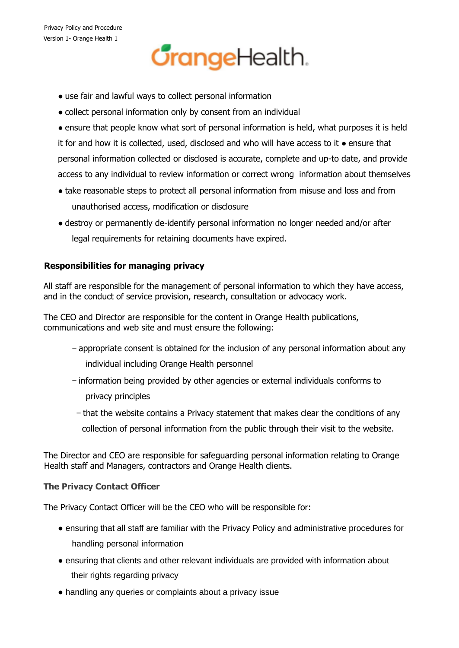# **CrangeHealth.**

- use fair and lawful ways to collect personal information
- collect personal information only by consent from an individual
- ensure that people know what sort of personal information is held, what purposes it is held it for and how it is collected, used, disclosed and who will have access to it ● ensure that personal information collected or disclosed is accurate, complete and up-to date, and provide access to any individual to review information or correct wrong information about themselves
- take reasonable steps to protect all personal information from misuse and loss and from unauthorised access, modification or disclosure
- destroy or permanently de-identify personal information no longer needed and/or after legal requirements for retaining documents have expired.

# **Responsibilities for managing privacy**

All staff are responsible for the management of personal information to which they have access, and in the conduct of service provision, research, consultation or advocacy work.

The CEO and Director are responsible for the content in Orange Health publications, communications and web site and must ensure the following:

- − appropriate consent is obtained for the inclusion of any personal information about any individual including Orange Health personnel
- − information being provided by other agencies or external individuals conforms to privacy principles
- − that the website contains a Privacy statement that makes clear the conditions of any collection of personal information from the public through their visit to the website.

The Director and CEO are responsible for safeguarding personal information relating to Orange Health staff and Managers, contractors and Orange Health clients.

# **The Privacy Contact Officer**

The Privacy Contact Officer will be the CEO who will be responsible for:

- ensuring that all staff are familiar with the Privacy Policy and administrative procedures for handling personal information
- ensuring that clients and other relevant individuals are provided with information about their rights regarding privacy
- handling any queries or complaints about a privacy issue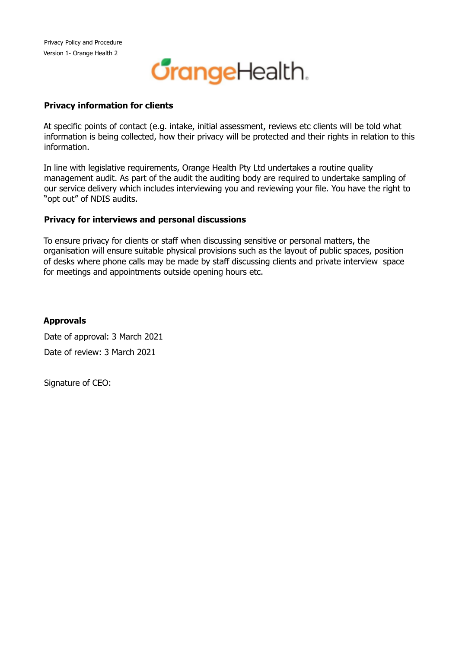

## **Privacy information for clients**

At specific points of contact (e.g. intake, initial assessment, reviews etc clients will be told what information is being collected, how their privacy will be protected and their rights in relation to this information.

In line with legislative requirements, Orange Health Pty Ltd undertakes a routine quality management audit. As part of the audit the auditing body are required to undertake sampling of our service delivery which includes interviewing you and reviewing your file. You have the right to "opt out" of NDIS audits.

## **Privacy for interviews and personal discussions**

To ensure privacy for clients or staff when discussing sensitive or personal matters, the organisation will ensure suitable physical provisions such as the layout of public spaces, position of desks where phone calls may be made by staff discussing clients and private interview space for meetings and appointments outside opening hours etc.

# **Approvals**

Date of approval: 3 March 2021 Date of review: 3 March 2021

Signature of CEO: